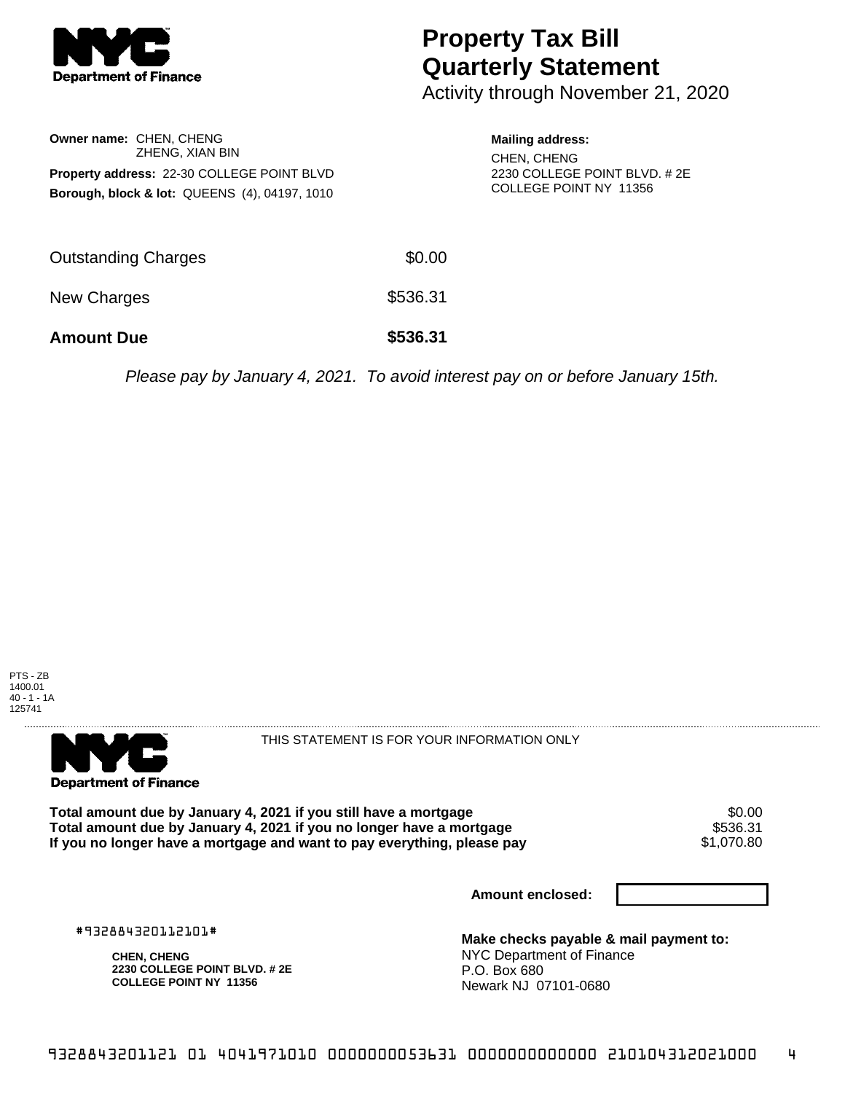

## **Property Tax Bill Quarterly Statement**

Activity through November 21, 2020

|                                                   | <b>Owner name: CHEN, CHENG</b><br>ZHENG, XIAN BIN        |  |  |  |  |
|---------------------------------------------------|----------------------------------------------------------|--|--|--|--|
| <b>Property address: 22-30 COLLEGE POINT BLVD</b> |                                                          |  |  |  |  |
|                                                   | <b>Borough, block &amp; lot: QUEENS (4), 04197, 1010</b> |  |  |  |  |

## **Mailing address:**

CHEN, CHENG 2230 COLLEGE POINT BLVD. # 2E COLLEGE POINT NY 11356

| <b>Amount Due</b>   | \$536.31 |
|---------------------|----------|
| New Charges         | \$536.31 |
| Outstanding Charges | \$0.00   |

Please pay by January 4, 2021. To avoid interest pay on or before January 15th.





THIS STATEMENT IS FOR YOUR INFORMATION ONLY

Total amount due by January 4, 2021 if you still have a mortgage **\$0.00** \$0.00<br>Total amount due by January 4, 2021 if you no longer have a mortgage **Total amount due by January 4, 2021 if you no longer have a mortgage \$536.31<br>If you no longer have a mortgage and want to pay everything, please pay \$1,070.80** If you no longer have a mortgage and want to pay everything, please pay

**Amount enclosed:**

#932884320112101#

**CHEN, CHENG 2230 COLLEGE POINT BLVD. # 2E COLLEGE POINT NY 11356**

**Make checks payable & mail payment to:** NYC Department of Finance P.O. Box 680 Newark NJ 07101-0680